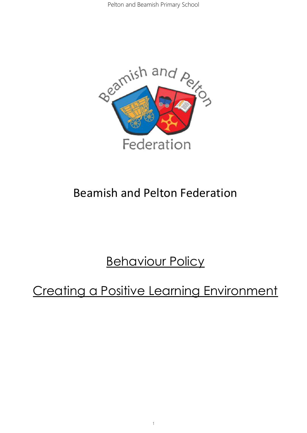

## Beamish and Pelton Federation

# **Behaviour Policy**

# Creating a Positive Learning Environment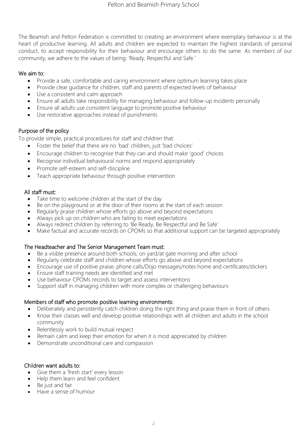The Beamish and Pelton Federation is committed to creating an environment where exemplary behaviour is at the heart of productive learning. All adults and children are expected to maintain the highest standards of personal conduct, to accept responsibility for their behaviour and encourage others to do the same. As members of our community, we adhere to the values of being: 'Ready, Respectful and Safe.'

### We aim to:

- Provide a safe, comfortable and caring environment where optimum learning takes place
- Provide clear guidance for children, staff and parents of expected levels of behaviour
- Use a consistent and calm approach
- Ensure all adults take responsibility for managing behaviour and follow-up incidents personally
- Ensure all adults use consistent language to promote positive behaviour
- Use restorative approaches instead of punishments

## Purpose of the policy

To provide simple, practical procedures for staff and children that:

- Foster the belief that there are no 'bad' children, just 'bad choices'
- Encourage children to recognise that they can and should make 'good' choices
- Recognise individual behavioural norms and respond appropriately
- Promote self-esteem and self-discipline
- Teach appropriate behaviour through positive intervention

## All staff must:

- Take time to welcome children at the start of the day
- Be on the playground or at the door of their rooms at the start of each session
- Regularly praise children whose efforts go above and beyond expectations
- Always pick up on children who are failing to meet expectations
- Always redirect children by referring to 'Be Ready, Be Respectful and Be Safe'
- Make factual and accurate records on CPOMs so that additional support can be targeted appropriately

### The Headteacher and The Senior Management Team must:

- Be a visible presence around both schools, on yard/at gate morning and after school
- Regularly celebrate staff and children whose efforts go above and beyond expectations
- Encourage use of positive praise, phone calls/Dojo messages/notes home and certificates/stickers
- Ensure staff training needs are identified and met
- Use behaviour CPOMs records to target and assess interventions
- Support staff in managing children with more complex or challenging behaviours

### Members of staff who promote positive learning environments:

- Deliberately and persistently catch children doing the right thing and praise them in front of others
- Know their classes well and develop positive relationships with all children and adults in the school community
- Relentlessly work to build mutual respect
- Remain calm and keep their emotion for when it is most appreciated by children
- Demonstrate unconditional care and compassion

### Children want adults to:

- Give them a 'fresh start' every lesson
- Help them learn and feel confident
- Be just and fair
- Have a sense of humour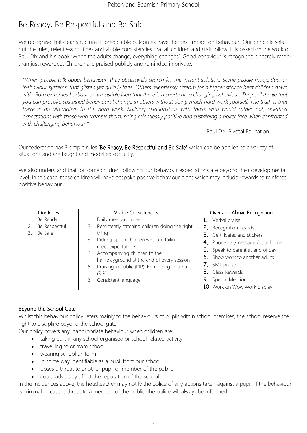## Be Ready, Be Respectful and Be Safe

We recognise that clear structure of predictable outcomes have the best impact on behaviour. Our principle sets out the rules, relentless routines and visible consistencies that all children and staff follow. It is based on the work of Paul Dix and his book 'When the adults change, everything changes'. Good behaviour is recognised sincerely rather than just rewarded. Children are praised publicly and reminded in private.

*''When people talk about behaviour, they obsessively search for the instant solution. Some peddle magic dust or 'behaviour systems' that glisten yet quickly fade. Others relentlessly scream for a bigger stick to beat children down*  with. Both extremes harbour an irresistible idea that there is a short cut to changing behaviour. They sell the lie that *you can provoke sustained behavioural change in others without doing much hard work yourself. The truth is that there is no alternative to the hard work: building relationships with those who would rather not, resetting expectations with those who trample them, being relentlessly positive and sustaining a poker face when confronted with challenging behaviour.''*

Paul Dix, Pivotal Education

Our federation has 3 simple rules 'Be Ready, Be Respectful and Be Safe' which can be applied to a variety of situations and are taught and modelled explicitly.

We also understand that for some children following our behaviour expectations are beyond their developmental level. In this case, these children will have bespoke positive behaviour plans which may include rewards to reinforce positive behaviour.

| Our Rules     | <b>Visible Consistencies</b>                                                                     | Over and Above Recognition       |
|---------------|--------------------------------------------------------------------------------------------------|----------------------------------|
| Be Ready      | Daily meet and greet                                                                             | 1. Verbal praise                 |
| Be Respectful | 2. Persistently catching children doing the right                                                | 2. Recognition boards            |
| Be Safe       | thing                                                                                            | 3. Certificates and stickers     |
|               | 3. Picking up on children who are failing to                                                     | 4. Phone call/message /note home |
|               | meet expectations                                                                                | 5. Speak to parent at end of day |
|               | 4. Accompanying children to the                                                                  | 6. Show work to another adults   |
|               | hall/playground at the end of every session<br>5. Praising in public (PIP), Reminding in private | 7. SMT praise                    |
| (RIP)         | 8. Class Rewards                                                                                 |                                  |
|               | 6. Consistent language                                                                           | 9. Special Mention               |
|               |                                                                                                  | 10. Work on Wow Work display     |

## Beyond the School Gate

Whilst this behaviour policy refers mainly to the behaviours of pupils within school premises, the school reserve the right to discipline beyond the school gate.

Our policy covers any inappropriate behaviour when children are:

- taking part in any school organised or school related activity
- travelling to or from school
- wearing school uniform
- in some way identifiable as a pupil from our school
- poses a threat to another pupil or member of the public
- could adversely affect the reputation of the school

In the incidences above, the headteacher may notify the police of any actions taken against a pupil. If the behaviour is criminal or causes threat to a member of the public, the police will always be informed.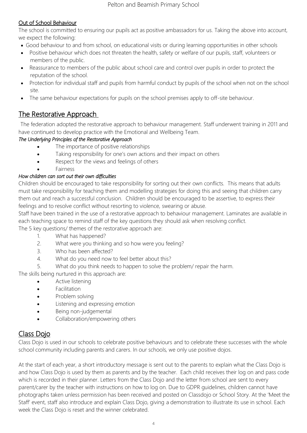## Out of School Behaviour

The school is committed to ensuring our pupils act as positive ambassadors for us. Taking the above into account, we expect the following:

- Good behaviour to and from school, on educational visits or during learning opportunities in other schools
- Positive behaviour which does not threaten the health, safety or welfare of our pupils, staff, volunteers or members of the public.
- Reassurance to members of the public about school care and control over pupils in order to protect the reputation of the school.
- Protection for individual staff and pupils from harmful conduct by pupils of the school when not on the school site.
- The same behaviour expectations for pupils on the school premises apply to off-site behaviour.

## The Restorative Approach

The federation adopted the restorative approach to behaviour management. Staff underwent training in 2011 and have continued to develop practice with the Emotional and Wellbeing Team.

## *The Underlying Principles of the Restorative Approach*

- The importance of positive relationships
- Taking responsibility for one's own actions and their impact on others
- Respect for the views and feelings of others
- **Fairness**

## *How children can sort out their own difficulties*

Children should be encouraged to take responsibility for sorting out their own conflicts. This means that adults must take responsibility for teaching them and modelling strategies for doing this and seeing that children carry them out and reach a successful conclusion. Children should be encouraged to be assertive, to express their feelings and to resolve conflict without resorting to violence, swearing or abuse.

Staff have been trained in the use of a restorative approach to behaviour management. Laminates are available in each teaching space to remind staff of the key questions they should ask when resolving conflict.

The 5 key questions/ themes of the restorative approach are:

- 1. What has happened?
- 2. What were you thinking and so how were you feeling?
- 3. Who has been affected?
- 4. What do you need now to feel better about this?
- 5. What do you think needs to happen to solve the problem/ repair the harm.

The skills being nurtured in this approach are:

- Active listening
- Facilitation
- Problem solving
- Listening and expressing emotion
- Being non-judgemental
- Collaboration/empowering others

## Class Dojo

Class Dojo is used in our schools to celebrate positive behaviours and to celebrate these successes with the whole school community including parents and carers. In our schools, we only use positive dojos.

At the start of each year, a short introductory message is sent out to the parents to explain what the Class Dojo is and how Class Dojo is used by them as parents and by the teacher. Each child receives their log on and pass code which is recorded in their planner. Letters from the Class Dojo and the letter from school are sent to every parent/carer by the teacher with instructions on how to log on. Due to GDPR guidelines, children cannot have photographs taken unless permission has been received and posted on Classdojo or School Story. At the 'Meet the Staff' event, staff also introduce and explain Class Dojo, giving a demonstration to illustrate its use in school. Each week the Class Dojo is reset and the winner celebrated.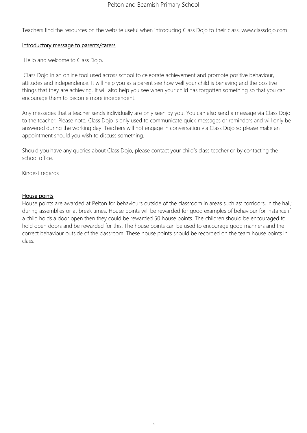Teachers find the resources on the website useful when introducing Class Dojo to their class. www.classdojo.com

#### Introductory message to parents/carers

Hello and welcome to Class Dojo,

Class Dojo in an online tool used across school to celebrate achievement and promote positive behaviour, attitudes and independence. It will help you as a parent see how well your child is behaving and the positive things that they are achieving. It will also help you see when your child has forgotten something so that you can encourage them to become more independent.

Any messages that a teacher sends individually are only seen by you. You can also send a message via Class Dojo to the teacher. Please note, Class Dojo is only used to communicate quick messages or reminders and will only be answered during the working day. Teachers will not engage in conversation via Class Dojo so please make an appointment should you wish to discuss something.

Should you have any queries about Class Dojo, please contact your child's class teacher or by contacting the school office.

Kindest regards

### House points

House points are awarded at Pelton for behaviours outside of the classroom in areas such as: corridors, in the hall; during assemblies or at break times. House points will be rewarded for good examples of behaviour for instance if a child holds a door open then they could be rewarded 50 house points. The children should be encouraged to hold open doors and be rewarded for this. The house points can be used to encourage good manners and the correct behaviour outside of the classroom. These house points should be recorded on the team house points in class.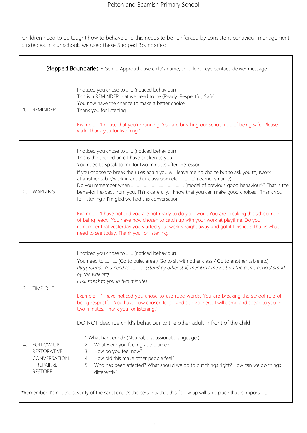Children need to be taught how to behave and this needs to be reinforced by consistent behaviour management strategies. In our schools we used these Stepped Boundaries:

| Stepped Boundaries - Gentle Approach, use child's name, child level, eye contact, deliver message                          |                                                                                                                                                                                                                                                                                                                                                                                                                                                                                                                                                                                                                                                                                                                                                                                                                                |  |
|----------------------------------------------------------------------------------------------------------------------------|--------------------------------------------------------------------------------------------------------------------------------------------------------------------------------------------------------------------------------------------------------------------------------------------------------------------------------------------------------------------------------------------------------------------------------------------------------------------------------------------------------------------------------------------------------------------------------------------------------------------------------------------------------------------------------------------------------------------------------------------------------------------------------------------------------------------------------|--|
| <b>REMINDER</b><br>1.                                                                                                      | I noticed you chose to  (noticed behaviour)<br>This is a REMINDER that we need to be (Ready, Respectful, Safe)<br>You now have the chance to make a better choice<br>Thank you for listening<br>Example - 'I notice that you're running. You are breaking our school rule of being safe. Please<br>walk. Thank you for listening.'                                                                                                                                                                                                                                                                                                                                                                                                                                                                                             |  |
| WARNING<br>2.                                                                                                              | I noticed you chose to  (noticed behaviour)<br>This is the second time I have spoken to you.<br>You need to speak to me for two minutes after the lesson.<br>If you choose to break the rules again you will leave me no choice but to ask you to, (work<br>at another table/work in another classroom etc ) (learner's name),<br>behavior I expect from you. Think carefully. I know that you can make good choices. Thank you<br>for listening / I'm glad we had this conversation<br>Example - 'I have noticed you are not ready to do your work. You are breaking the school rule<br>of being ready. You have now chosen to catch up with your work at playtime. Do you<br>remember that yesterday you started your work straight away and got it finished? That is what I<br>need to see today. Thank you for listening.' |  |
| 3.<br>iime oui                                                                                                             | I noticed you chose to  (noticed behaviour)<br>You need to(Go to quiet area / Go to sit with other class / Go to another table etc)<br>Playground: You need to (Stand by other staff member/ me / sit on the picnic bench/ stand<br>by the wall etc)<br>I will speak to you in two minutes<br>Example - 'I have noticed you chose to use rude words. You are breaking the school rule of<br>being respectful. You have now chosen to go and sit over here. I will come and speak to you in<br>two minutes. Thank you for listening.'<br>DO NOT describe child's behaviour to the other adult in front of the child.                                                                                                                                                                                                            |  |
| <b>FOLLOW UP</b><br>4.<br><b>RESTORATIVE</b><br>CONVERSATION.<br>$-$ REPAIR &<br><b>RESTORE</b>                            | 1. What happened? (Neutral, dispassionate language.)<br>What were you feeling at the time?<br>2.<br>How do you feel now?<br>3.<br>How did this make other people feel?<br>4.<br>Who has been affected? What should we do to put things right? How can we do things<br>5.<br>differently?                                                                                                                                                                                                                                                                                                                                                                                                                                                                                                                                       |  |
| *Remember it's not the severity of the sanction, it's the certainty that this follow up will take place that is important. |                                                                                                                                                                                                                                                                                                                                                                                                                                                                                                                                                                                                                                                                                                                                                                                                                                |  |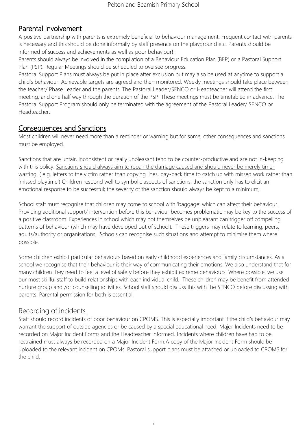## Parental Involvement

A positive partnership with parents is extremely beneficial to behaviour management. Frequent contact with parents is necessary and this should be done informally by staff presence on the playground etc. Parents should be informed of success and achievements as well as poor behaviour!!

Parents should always be involved in the compilation of a Behaviour Education Plan (BEP) or a Pastoral Support Plan (PSP). Regular Meetings should be scheduled to oversee progress.

Pastoral Support Plans must always be put in place after exclusion but may also be used at anytime to support a child's behaviour. Achievable targets are agreed and then monitored. Weekly meetings should take place between the teacher/ Phase Leader and the parents. The Pastoral Leader/SENCO or Headteacher will attend the first meeting, and one half way through the duration of the PSP. These meetings must be timetabled in advance. The Pastoral Support Program should only be terminated with the agreement of the Pastoral Leader/ SENCO or Headteacher.

## Consequences and Sanctions

Most children will never need more than a reminder or warning but for some, other consequences and sanctions must be employed.

Sanctions that are unfair, inconsistent or really unpleasant tend to be counter-productive and are not in-keeping with this policy. Sanctions should always aim to repair the damage caused and should never be merely timewasting. ( e.g. letters to the victim rather than copying lines, pay-back time to catch up with missed work rather than 'missed playtime') Children respond well to symbolic aspects of sanctions; the sanction only has to elicit an emotional response to be successful; the severity of the sanction should always be kept to a minimum;

School staff must recognise that children may come to school with 'baggage' which can affect their behaviour. Providing additional support/ intervention before this behaviour becomes problematic may be key to the success of a positive classroom. Experiences in school which may not themselves be unpleasant can trigger off compelling patterns of behaviour (which may have developed out of school). These triggers may relate to learning, peers, adults/authority or organisations. Schools can recognise such situations and attempt to minimise them where possible.

Some children exhibit particular behaviours based on early childhood experiences and family circumstances. As a school we recognise that their behaviour is their way of communicating their emotions. We also understand that for many children they need to feel a level of safety before they exhibit extreme behaviours. Where possible, we use our most skillful staff to build relationships with each individual child. These children may be benefit from attended nurture group and /or counselling activities. School staff should discuss this with the SENCO before discussing with parents. Parental permission for both is essential.

## Recording of incidents

Staff should record incidents of poor behaviour on CPOMS. This is especially important if the child's behaviour may warrant the support of outside agencies or be caused by a special educational need. Major Incidents need to be recorded on Major Incident Forms and the Headteacher informed. Incidents where children have had to be restrained must always be recorded on a Major Incident Form.A copy of the Major Incident Form should be uploaded to the relevant incident on CPOMs. Pastoral support plans must be attached or uploaded to CPOMS for the child.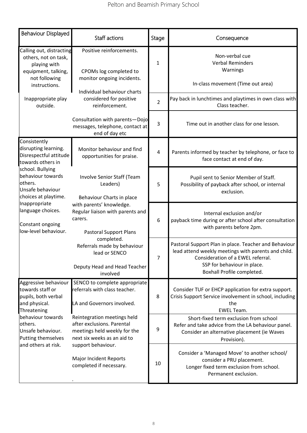| Behaviour Displayed                                                                                                                                                                                                                                                   | Staff actions                                                                                                                                                                                                                                                                             | Stage          | Consequence                                                                                                                                                                                                    |
|-----------------------------------------------------------------------------------------------------------------------------------------------------------------------------------------------------------------------------------------------------------------------|-------------------------------------------------------------------------------------------------------------------------------------------------------------------------------------------------------------------------------------------------------------------------------------------|----------------|----------------------------------------------------------------------------------------------------------------------------------------------------------------------------------------------------------------|
| Calling out, distracting<br>others, not on task,<br>playing with<br>equipment, talking,<br>not following<br>instructions.                                                                                                                                             | Positive reinforcements.<br>CPOMs log completed to<br>monitor ongoing incidents.                                                                                                                                                                                                          | $\mathbf{1}$   | Non-verbal cue<br><b>Verbal Reminders</b><br>Warnings<br>In-class movement (Time out area)                                                                                                                     |
| Inappropriate play<br>outside.                                                                                                                                                                                                                                        | Individual behaviour charts<br>considered for positive<br>reinforcement.                                                                                                                                                                                                                  | $\overline{2}$ | Pay back in lunchtimes and playtimes in own class with<br>Class teacher.                                                                                                                                       |
|                                                                                                                                                                                                                                                                       | Consultation with parents-Dojo<br>messages, telephone, contact at<br>end of day etc                                                                                                                                                                                                       | 3              | Time out in another class for one lesson.                                                                                                                                                                      |
| Consistently<br>disrupting learning.<br>Disrespectful attitude<br>towards others in<br>school. Bullying<br>behaviour towards<br>others.<br>Unsafe behaviour<br>choices at playtime.<br>Inappropriate<br>language choices.<br>Constant ongoing<br>low-level behaviour. | Monitor behaviour and find<br>opportunities for praise.                                                                                                                                                                                                                                   | 4              | Parents informed by teacher by telephone, or face to<br>face contact at end of day.                                                                                                                            |
|                                                                                                                                                                                                                                                                       | Involve Senior Staff (Team<br>Leaders)<br>Behaviour Charts in place<br>with parents' knowledge.<br>Regular liaison with parents and<br>carers.<br><b>Pastoral Support Plans</b><br>completed.<br>Referrals made by behaviour<br>lead or SENCO<br>Deputy Head and Head Teacher<br>involved | 5              | Pupil sent to Senior Member of Staff.<br>Possibility of payback after school, or internal<br>exclusion.                                                                                                        |
|                                                                                                                                                                                                                                                                       |                                                                                                                                                                                                                                                                                           | 6              | Internal exclusion and/or<br>payback time during or after school after consultation<br>with parents before 2pm.                                                                                                |
|                                                                                                                                                                                                                                                                       |                                                                                                                                                                                                                                                                                           | 7              | Pastoral Support Plan in place. Teacher and Behaviour<br>lead attend weekly meetings with parents and child.<br>Consideration of a EWEL referral.<br>SSP for behaviour in place.<br>Boxhall Profile completed. |
| Aggressive behaviour<br>towards staff or<br>pupils, both verbal<br>and physical.<br>Threatening                                                                                                                                                                       | SENCO to complete appropriate<br>referrals with class teacher.<br>LA and Governors involved.                                                                                                                                                                                              | 8              | Consider TUF or EHCP application for extra support.<br>Crisis Support Service involvement in school, including<br>the<br><b>EWEL Team.</b>                                                                     |
| behaviour towards<br>others.<br>Unsafe behaviour.<br>Putting themselves<br>and others at risk.                                                                                                                                                                        | Reintegration meetings held<br>after exclusions. Parental<br>meetings held weekly for the<br>next six weeks as an aid to                                                                                                                                                                  | 9              | Short-fixed term exclusion from school<br>Refer and take advice from the LA behaviour panel.<br>Consider an alternative placement (ie Waves<br>Provision).                                                     |
|                                                                                                                                                                                                                                                                       | support behaviour.<br>Major Incident Reports<br>completed if necessary.                                                                                                                                                                                                                   | 10             | Consider a 'Managed Move' to another school/<br>consider a PRU placement.<br>Longer fixed term exclusion from school.<br>Permanent exclusion.                                                                  |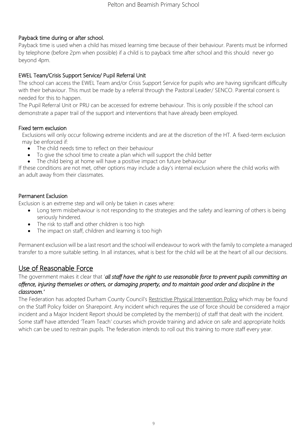## Payback time during or after school.

Payback time is used when a child has missed learning time because of their behaviour. Parents must be informed by telephone (before 2pm when possible) if a child is to payback time after school and this should never go beyond 4pm.

## EWEL Team/Crisis Support Service/ Pupil Referral Unit

The school can access the EWEL Team and/or Crisis Support Service for pupils who are having significant difficulty with their behaviour. This must be made by a referral through the Pastoral Leader/ SENCO. Parental consent is needed for this to happen.

The Pupil Referral Unit or PRU can be accessed for extreme behaviour. This is only possible if the school can demonstrate a paper trail of the support and interventions that have already been employed.

## Fixed term exclusion

Exclusions will only occur following extreme incidents and are at the discretion of the HT. A fixed-term exclusion may be enforced if:

- The child needs time to reflect on their behaviour
- To give the school time to create a plan which will support the child better
- The child being at home will have a positive impact on future behaviour

If these conditions are not met, other options may include a day's internal exclusion where the child works with an adult away from their classmates.

## Permanent Exclusion

Exclusion is an extreme step and will only be taken in cases where:

- Long term misbehaviour is not responding to the strategies and the safety and learning of others is being seriously hindered.
- The risk to staff and other children is too high
- The impact on staff, children and learning is too high

Permanent exclusion will be a last resort and the school will endeavour to work with the family to complete a managed transfer to a more suitable setting. In all instances, what is best for the child will be at the heart of all our decisions.

## Use of Reasonable Force

### The government makes it clear that '*all staff have the right to use reasonable force to prevent pupils committing an offence, injuring themselves or others, or damaging property, and to maintain good order and discipline in the classroom.'*

The Federation has adopted Durham County Council's Restrictive Physical Intervention Policy which may be found on the Staff Policy folder on Sharepoint. Any incident which requires the use of force should be considered a major incident and a Major Incident Report should be completed by the member(s) of staff that dealt with the incident. Some staff have attended 'Team Teach' courses which provide training and advice on safe and appropriate holds which can be used to restrain pupils. The federation intends to roll out this training to more staff every year.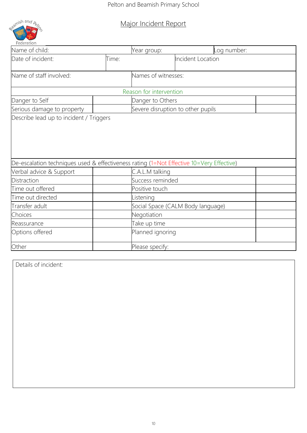amish and A Federation

## Major Incident Report

| Name of child:                                                                           |       | Year group:             | og number:                        |  |
|------------------------------------------------------------------------------------------|-------|-------------------------|-----------------------------------|--|
| Date of incident:                                                                        | Time: |                         | <b>Incident Location</b>          |  |
| Name of staff involved:                                                                  |       | Names of witnesses:     |                                   |  |
|                                                                                          |       | Reason for intervention |                                   |  |
| Danger to Self                                                                           |       | Danger to Others        |                                   |  |
| Serious damage to property                                                               |       |                         | Severe disruption to other pupils |  |
| Describe lead up to incident / Triggers                                                  |       |                         |                                   |  |
|                                                                                          |       |                         |                                   |  |
|                                                                                          |       |                         |                                   |  |
|                                                                                          |       |                         |                                   |  |
|                                                                                          |       |                         |                                   |  |
| De-escalation techniques used & effectiveness rating (1=Not Effective 10=Very Effective) |       |                         |                                   |  |
| Verbal advice & Support                                                                  |       | C.A.L.M talking         |                                   |  |
| Distraction                                                                              |       | Success reminded        |                                   |  |
| Time out offered                                                                         |       | Positive touch          |                                   |  |
| Time out directed                                                                        |       | Listening               |                                   |  |
| Transfer adult                                                                           |       |                         | Social Space (CALM Body language) |  |
| Choices                                                                                  |       | Negotiation             |                                   |  |
| Reassurance                                                                              |       | Take up time            |                                   |  |
| Options offered                                                                          |       | Planned ignoring        |                                   |  |
| Other                                                                                    |       | Please specify:         |                                   |  |

Details of incident: